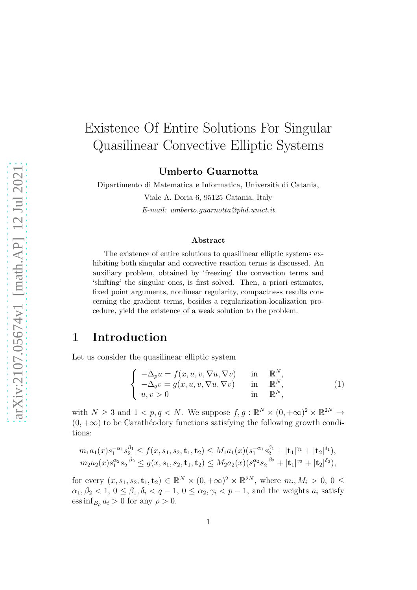# Existence Of Entire Solutions For Singular Quasilinear Convective Elliptic Systems

Umberto Guarnotta

Dipartimento di Matematica e Informatica, Università di Catania, Viale A. Doria 6, 95125 Catania, Italy *E-mail: umberto.guarnotta@phd.unict.it*

#### Abstract

The existence of entire solutions to quasilinear elliptic systems exhibiting both singular and convective reaction terms is discussed. An auxiliary problem, obtained by 'freezing' the convection terms and 'shifting' the singular ones, is first solved. Then, a priori estimates, fixed point arguments, nonlinear regularity, compactness results concerning the gradient terms, besides a regularization-localization procedure, yield the existence of a weak solution to the problem.

### 1 Introduction

Let us consider the quasilinear elliptic system

<span id="page-0-0"></span>
$$
\begin{cases}\n-\Delta_p u = f(x, u, v, \nabla u, \nabla v) & \text{in } \mathbb{R}^N, \\
-\Delta_q v = g(x, u, v, \nabla u, \nabla v) & \text{in } \mathbb{R}^N, \\
u, v > 0\n\end{cases}
$$
\n(1)

with  $N \geq 3$  and  $1 < p, q < N$ . We suppose  $f, g : \mathbb{R}^N \times (0, +\infty)^2 \times \mathbb{R}^{2N} \to$  $(0, +\infty)$  to be Carathéodory functions satisfying the following growth conditions:

$$
m_1a_1(x)s_1^{-\alpha_1}s_2^{\beta_1} \le f(x, s_1, s_2, \mathbf{t}_1, \mathbf{t}_2) \le M_1a_1(x)(s_1^{-\alpha_1}s_2^{\beta_1} + |\mathbf{t}_1|^{\gamma_1} + |\mathbf{t}_2|^{\delta_1}),
$$
  

$$
m_2a_2(x)s_1^{\alpha_2}s_2^{-\beta_2} \le g(x, s_1, s_2, \mathbf{t}_1, \mathbf{t}_2) \le M_2a_2(x)(s_1^{\alpha_2}s_2^{-\beta_2} + |\mathbf{t}_1|^{\gamma_2} + |\mathbf{t}_2|^{\delta_2}),
$$

for every  $(x, s_1, s_2, \mathbf{t}_1, \mathbf{t}_2) \in \mathbb{R}^N \times (0, +\infty)^2 \times \mathbb{R}^{2N}$ , where  $m_i, M_i > 0, 0 \leq$  $\alpha_1, \beta_2 < 1, 0 \leq \beta_1, \delta_i < q - 1, 0 \leq \alpha_2, \gamma_i < p - 1$ , and the weights  $a_i$  satisfy ess inf<sub>B<sub>ρ</sub></sub>  $a_i > 0$  for any  $\rho > 0$ .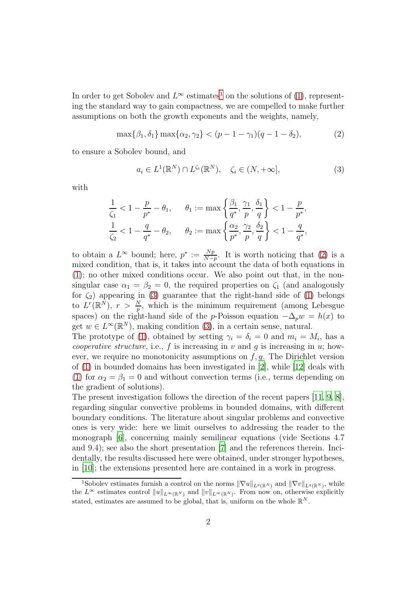In order to get Sobolev and  $L^{\infty}$  estimates<sup>[1](#page-1-0)</sup> on the solutions of [\(1\)](#page-0-0), representing the standard way to gain compactness, we are compelled to make further assumptions on both the growth exponents and the weights, namely,

<span id="page-1-1"></span>
$$
\max\{\beta_1, \delta_1\} \max\{\alpha_2, \gamma_2\} < (p - 1 - \gamma_1)(q - 1 - \delta_2),\tag{2}
$$

to ensure a Sobolev bound, and

<span id="page-1-2"></span>
$$
a_i \in L^1(\mathbb{R}^N) \cap L^{\zeta_i}(\mathbb{R}^N), \quad \zeta_i \in (N, +\infty], \tag{3}
$$

with

$$
\frac{1}{\zeta_1} < 1 - \frac{p}{p^*} - \theta_1, \qquad \theta_1 := \max\left\{\frac{\beta_1}{q^*}, \frac{\gamma_1}{p}, \frac{\delta_1}{q}\right\} < 1 - \frac{p}{p^*},
$$
\n
$$
\frac{1}{\zeta_2} < 1 - \frac{q}{q^*} - \theta_2, \qquad \theta_2 := \max\left\{\frac{\alpha_2}{p^*}, \frac{\gamma_2}{p}, \frac{\delta_2}{q}\right\} < 1 - \frac{q}{q^*},
$$

to obtain a  $L^{\infty}$  bound; here,  $p^* := \frac{Np}{N-p}$ . It is worth noticing that [\(2\)](#page-1-1) is a mixed condition, that is, it takes into account the data of both equations in [\(1\)](#page-0-0); no other mixed conditions occur. We also point out that, in the nonsingular case  $\alpha_1 = \beta_2 = 0$ , the required properties on  $\zeta_1$  (and analogously for  $\zeta_2$ ) appearing in [\(3\)](#page-1-2) guarantee that the right-hand side of [\(1\)](#page-0-0) belongs to  $L^r(\mathbb{R}^N)$ ,  $r > \frac{N}{p}$ , which is the minimum requirement (among Lebesgue spaces) on the right-hand side of the p-Poisson equation  $-\Delta_p w = h(x)$  to get  $w \in L^{\infty}(\mathbb{R}^N)$ , making condition  $(3)$ , in a certain sense, natural.

The prototype of [\(1\)](#page-0-0), obtained by setting  $\gamma_i = \delta_i = 0$  and  $m_i = M_i$ , has a *cooperative structure*, i.e.,  $f$  is increasing in  $v$  and  $g$  is increasing in  $u$ ; however, we require no monotonicity assumptions on  $f, q$ . The Dirichlet version of [\(1\)](#page-0-0) in bounded domains has been investigated in [\[2](#page-6-0)], while [\[12\]](#page-6-1) deals with [\(1\)](#page-0-0) for  $\alpha_2 = \beta_1 = 0$  and without convection terms (i.e., terms depending on the gradient of solutions).

The present investigation follows the direction of the recent papers [\[11,](#page-6-2) [9](#page-6-3), [8\]](#page-6-4), regarding singular convective problems in bounded domains, with different boundary conditions. The literature about singular problems and convective ones is very wide: here we limit ourselves to addressing the reader to the monograph [\[6\]](#page-6-5), concerning mainly semilinear equations (vide Sections 4.7 and 9.4); see also the short presentation [\[7\]](#page-6-6) and the references therein. Incidentally, the results discussed here were obtained, under stronger hypotheses, in [\[10\]](#page-6-7); the extensions presented here are contained in a work in progress.

<span id="page-1-0"></span><sup>&</sup>lt;sup>1</sup>Sobolev estimates furnish a control on the norms  $\|\nabla u\|_{L^p(\mathbb{R}^N)}$  and  $\|\nabla v\|_{L^q(\mathbb{R}^N)}$ , while the  $L^{\infty}$  estimates control  $||u||_{L^{\infty}(\mathbb{R}^N)}$  and  $||v||_{L^{\infty}(\mathbb{R}^N)}$ . From now on, otherwise explicitly stated, estimates are assumed to be global, that is, uniform on the whole  $\mathbb{R}^N$ .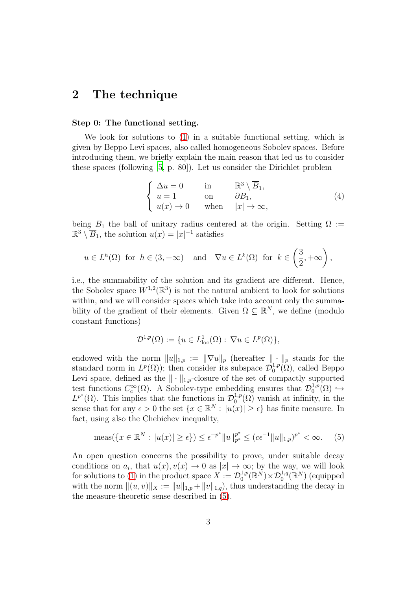### 2 The technique

#### Step 0: The functional setting.

We look for solutions to [\(1\)](#page-0-0) in a suitable functional setting, which is given by Beppo Levi spaces, also called homogeneous Sobolev spaces. Before introducing them, we briefly explain the main reason that led us to consider these spaces (following [\[5,](#page-6-8) p. 80]). Let us consider the Dirichlet problem

$$
\begin{cases}\n\Delta u = 0 & \text{in} & \mathbb{R}^3 \setminus \overline{B}_1, \\
u = 1 & \text{on} & \partial B_1, \\
u(x) \to 0 & \text{when} & |x| \to \infty,\n\end{cases}
$$
\n(4)

being  $B_1$  the ball of unitary radius centered at the origin. Setting  $\Omega :=$  $\mathbb{R}^3 \setminus \overline{B}_1$ , the solution  $u(x) = |x|^{-1}$  satisfies

$$
u \in L^h(\Omega)
$$
 for  $h \in (3, +\infty)$  and  $\nabla u \in L^k(\Omega)$  for  $k \in \left(\frac{3}{2}, +\infty\right)$ ,

i.e., the summability of the solution and its gradient are different. Hence, the Sobolev space  $W^{1,2}(\mathbb{R}^3)$  is not the natural ambient to look for solutions within, and we will consider spaces which take into account only the summability of the gradient of their elements. Given  $\Omega \subseteq \mathbb{R}^N$ , we define (modulo constant functions)

$$
\mathcal{D}^{1,p}(\Omega) := \{ u \in L^1_{loc}(\Omega) : \nabla u \in L^p(\Omega) \},
$$

endowed with the norm  $||u||_{1,p} := ||\nabla u||_p$  (hereafter  $|| \cdot ||_p$  stands for the standard norm in  $L^p(\Omega)$ ; then consider its subspace  $\mathcal{D}_0^{1,p}$  $_0^{1,p}(\Omega)$ , called Beppo Levi space, defined as the  $\|\cdot\|_{1,p}$ -closure of the set of compactly supported test functions  $C_{c}^{\infty}$  $\mathcal{C}_{c}^{\infty}(\Omega)$ . A Sobolev-type embedding ensures that  $\mathcal{D}_{0}^{1,p}$  $_{0}^{1,p}(\Omega) \hookrightarrow$  $L^{p^*}(\Omega)$ . This implies that the functions in  $\mathcal{D}_0^{1,p}$  $_{0}^{1,p}(\Omega)$  vanish at infinity, in the sense that for any  $\epsilon > 0$  the set  $\{x \in \mathbb{R}^N : |u(x)| \geq \epsilon\}$  has finite measure. In fact, using also the Chebichev inequality,

<span id="page-2-0"></span>
$$
\text{meas}(\{x \in \mathbb{R}^N : |u(x)| \ge \epsilon\}) \le \epsilon^{-p^*} \|u\|_{p^*}^{p^*} \le (c\epsilon^{-1} \|u\|_{1,p})^{p^*} < \infty. \tag{5}
$$

An open question concerns the possibility to prove, under suitable decay conditions on  $a_i$ , that  $u(x), v(x) \to 0$  as  $|x| \to \infty$ ; by the way, we will look for solutions to [\(1\)](#page-0-0) in the product space  $X := \mathcal{D}_0^{1,p}$  $\mathbb{D}_0^{1,p}(\mathbb{R}^N)\times \mathcal{D}_0^{1,q}(\mathbb{R}^N)$  (equipped with the norm  $||(u, v)||_X := ||u||_{1,p} + ||v||_{1,q}$ , thus understanding the decay in the measure-theoretic sense described in [\(5\)](#page-2-0).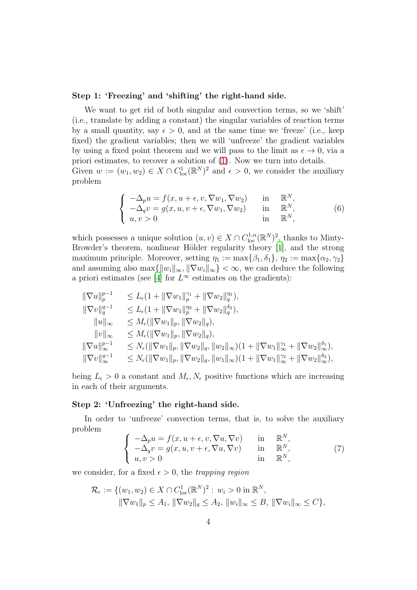#### Step 1: 'Freezing' and 'shifting' the right-hand side.

We want to get rid of both singular and convection terms, so we 'shift' (i.e., translate by adding a constant) the singular variables of reaction terms by a small quantity, say  $\epsilon > 0$ , and at the same time we 'freeze' (i.e., keep fixed) the gradient variables; then we will 'unfreeze' the gradient variables by using a fixed point theorem and we will pass to the limit as  $\epsilon \to 0$ , via a priori estimates, to recover a solution of [\(1\)](#page-0-0). Now we turn into details. Given  $w := (w_1, w_2) \in X \cap C^1_{loc}(\mathbb{R}^N)^2$  and  $\epsilon > 0$ , we consider the auxiliary problem

<span id="page-3-0"></span>
$$
\begin{cases}\n-\Delta_p u = f(x, u + \epsilon, v, \nabla w_1, \nabla w_2) & \text{in } \mathbb{R}^N, \\
-\Delta_q v = g(x, u, v + \epsilon, \nabla w_1, \nabla w_2) & \text{in } \mathbb{R}^N, \\
u, v > 0 & \text{in } \mathbb{R}^N,\n\end{cases}
$$
\n(6)

which possesses a unique solution  $(u, v) \in X \cap C^{1,\alpha}_{loc}(\mathbb{R}^N)^2$ , thanks to Minty-Browder's theorem, nonlinear Hölder regularity theory [\[1](#page-6-9)], and the strong maximum principle. Moreover, setting  $\eta_1 := \max\{\beta_1, \delta_1\}, \eta_2 := \max\{\alpha_2, \gamma_2\}$ and assuming also  $\max\{\Vert w_i \Vert_{\infty}, \Vert \nabla w_i \Vert_{\infty}\} < \infty$ , we can deduce the following a priori estimates (see [\[4\]](#page-6-10) for  $L^{\infty}$  estimates on the gradients):

$$
\label{eq:20} \begin{array}{ll} \|\nabla u\|_p^{p-1} & \leq L_\epsilon (1+\|\nabla w_1\|_p^{\gamma_1}+\|\nabla w_2\|_q^{\eta_1}),\\ \|\nabla v\|_q^{q-1} & \leq L_\epsilon (1+\|\nabla w_1\|_p^{\eta_2}+\|\nabla w_2\|_q^{\delta_2}),\\ \|u\|_\infty & \leq M_\epsilon (\|\nabla w_1\|_p,\|\nabla w_2\|_q),\\ \|v\|_\infty & \leq M_\epsilon (\|\nabla w_1\|_p,\|\nabla w_2\|_q),\\ \|\nabla u\|_\infty^{p-1} & \leq N_\epsilon (\|\nabla w_1\|_p,\|\nabla w_2\|_q,\|w_2\|_\infty)(1+\|\nabla w_1\|_\infty^{\gamma_1}+\|\nabla w_2\|_\infty^{\delta_1}),\\ \|\nabla v\|_\infty^{q-1} & \leq N_\epsilon (\|\nabla w_1\|_p,\|\nabla w_2\|_q,\|w_1\|_\infty)(1+\|\nabla w_1\|_\infty^{\gamma_2}+\|\nabla w_2\|_\infty^{\delta_2}), \end{array}
$$

being  $L_{\epsilon} > 0$  a constant and  $M_{\epsilon}, N_{\epsilon}$  positive functions which are increasing in each of their arguments.

### Step 2: 'Unfreezing' the right-hand side.

In order to 'unfreeze' convection terms, that is, to solve the auxiliary problem

<span id="page-3-1"></span>
$$
\begin{cases}\n-\Delta_p u = f(x, u + \epsilon, v, \nabla u, \nabla v) & \text{in } \mathbb{R}^N, \\
-\Delta_q v = g(x, u, v + \epsilon, \nabla u, \nabla v) & \text{in } \mathbb{R}^N, \\
u, v > 0 & \text{in } \mathbb{R}^N,\n\end{cases}
$$
\n(7)

we consider, for a fixed  $\epsilon > 0$ , the *trapping region* 

$$
\mathcal{R}_{\epsilon} := \{ (w_1, w_2) \in X \cap C^1_{loc}(\mathbb{R}^N)^2 : w_i > 0 \text{ in } \mathbb{R}^N, \|\nabla w_1\|_p \le A_1, \|\nabla w_2\|_q \le A_2, \|w_i\|_{\infty} \le B, \|\nabla w_i\|_{\infty} \le C \},
$$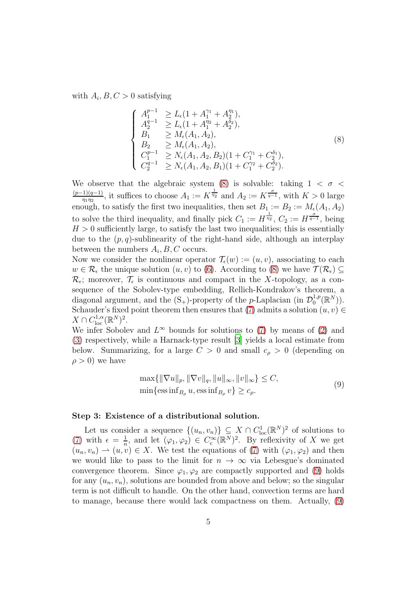with  $A_i, B, C > 0$  satisfying

<span id="page-4-0"></span>
$$
\begin{cases}\nA_1^{p-1} \geq L_{\epsilon}(1 + A_1^{\gamma_1} + A_2^{\eta_1}), \\
A_2^{q-1} \geq L_{\epsilon}(1 + A_1^{\gamma_2} + A_2^{\delta_2}), \\
B_1 \geq M_{\epsilon}(A_1, A_2), \\
B_2 \geq M_{\epsilon}(A_1, A_2), \\
C_1^{p-1} \geq N_{\epsilon}(A_1, A_2, B_2)(1 + C_1^{\gamma_1} + C_2^{\delta_1}), \\
C_2^{q-1} \geq N_{\epsilon}(A_1, A_2, B_1)(1 + C_1^{\gamma_2} + C_2^{\delta_2}).\n\end{cases}
$$
\n(8)

We observe that the algebraic system [\(8\)](#page-4-0) is solvable: taking  $1 < \sigma <$  $(p-1)(q-1)$  $\frac{1}{\eta_1\eta_2}$ , it suffices to choose  $A_1 := K^{\frac{1}{\eta_2}}$  and  $A_2 := K^{\frac{\sigma}{q-1}}$ , with  $K > 0$  large enough, to satisfy the first two inequalities, then set  $B_1 := B_2 := M_{\epsilon}(A_1, A_2)$ to solve the third inequality, and finally pick  $C_1 := H^{\frac{1}{\eta_2}}$ ,  $C_2 := H^{\frac{\sigma}{q-1}}$ , being  $H > 0$  sufficiently large, to satisfy the last two inequalities; this is essentially due to the  $(p, q)$ -sublinearity of the right-hand side, although an interplay between the numbers  $A_i, B, C$  occurs.

Now we consider the nonlinear operator  $\mathcal{T}_{\epsilon}(w) := (u, v)$ , associating to each  $w \in \mathcal{R}_{\epsilon}$  the unique solution  $(u, v)$  to [\(6\)](#page-3-0). According to [\(8\)](#page-4-0) we have  $\mathcal{T}(\mathcal{R}_{\epsilon}) \subseteq$  $\mathcal{R}_{\epsilon}$ ; moreover,  $\mathcal{T}_{\epsilon}$  is continuous and compact in the X-topology, as a consequence of the Sobolev-type embedding, Rellich-Kondrakov's theorem, a diagonal argument, and the  $(S_+)$ -property of the *p*-Laplacian (in  $\mathcal{D}_0^{1,p}$  $_{0}^{1,p}(\mathbb{R}^{N}).$ Schauder's fixed point theorem then ensures that [\(7\)](#page-3-1) admits a solution  $(u, v) \in$  $X \cap C^{1,\alpha}_{\text{loc}}(\mathbb{R}^N)^2.$ 

We infer Sobolev and  $L^{\infty}$  bounds for solutions to [\(7\)](#page-3-1) by means of [\(2\)](#page-1-1) and [\(3\)](#page-1-2) respectively, while a Harnack-type result [\[3](#page-6-11)] yields a local estimate from below. Summarizing, for a large  $C > 0$  and small  $c_{\rho} > 0$  (depending on  $\rho > 0$ ) we have

$$
\max\{\|\nabla u\|_p, \|\nabla v\|_q, \|u\|_\infty, \|v\|_\infty\} \le C, \n\min\{\text{ess}\inf_{B_\rho} u, \text{ess}\inf_{B_\rho} v\} \ge c_\rho.
$$
\n(9)

#### <span id="page-4-1"></span>Step 3: Existence of a distributional solution.

Let us consider a sequence  $\{(u_n, v_n)\}\subseteq X \cap C^1_{loc}(\mathbb{R}^N)^2$  of solutions to [\(7\)](#page-3-1) with  $\epsilon = \frac{1}{n}$  $\frac{1}{n}$ , and let  $(\varphi_1, \varphi_2) \in C_c^{\infty}$  $c^{\infty}(\mathbb{R}^N)^2$ . By reflexivity of X we get  $(u_n, v_n) \rightharpoonup (u, v) \in X$ . We test the equations of [\(7\)](#page-3-1) with  $(\varphi_1, \varphi_2)$  and then we would like to pass to the limit for  $n \to \infty$  via Lebesgue's dominated convergence theorem. Since  $\varphi_1, \varphi_2$  are compactly supported and [\(9\)](#page-4-1) holds for any  $(u_n, v_n)$ , solutions are bounded from above and below; so the singular term is not difficult to handle. On the other hand, convection terms are hard to manage, because there would lack compactness on them. Actually, [\(9\)](#page-4-1)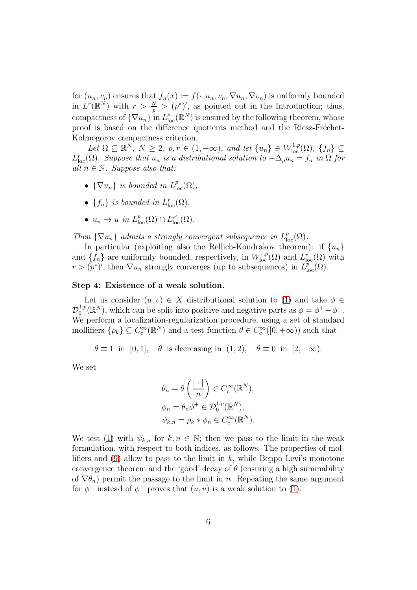for  $(u_n, v_n)$  ensures that  $f_n(x) := f(\cdot, u_n, v_n, \nabla u_n, \nabla v_n)$  is uniformly bounded in  $L^r(\mathbb{R}^N)$  with  $r > \frac{N}{p} > (p^*)'$ , as pointed out in the Introduction; thus, compactness of  $\{\nabla u_n\}$  in  $L^p_{loc}(\mathbb{R}^N)$  is ensured by the following theorem, whose proof is based on the difference quotients method and the Riesz-Fréchet-Kolmogorov compactness criterion.

Let  $\Omega \subseteq \mathbb{R}^N$ ,  $N \geq 2$ ,  $p, r \in (1, +\infty)$ , and let  $\{u_n\} \in W^{1,p}_{loc}(\Omega)$ ,  $\{f_n\} \subseteq$  $L_{loc}^r(\Omega)$ *. Suppose that*  $u_n$  *is a distributional solution to*  $-\Delta_p u_n = f_n$  *in*  $\Omega$  *for all*  $n \in \mathbb{N}$ *. Suppose also that:* 

- $\{\nabla u_n\}$  *is bounded in*  $L^p_{loc}(\Omega)$ ,
- $\{f_n\}$  *is bounded in*  $L^r_{loc}(\Omega)$ *,*
- $u_n \to u$  in  $L^p_{loc}(\Omega) \cap L^{r'}_{loc}(\Omega)$ .

Then  $\{\nabla u_n\}$  admits a strongly convergent subsequence in  $L^p_{loc}(\Omega)$ .

In particular (exploiting also the Rellich-Kondrakov theorem): if  $\{u_n\}$ and  $\{f_n\}$  are uniformly bounded, respectively, in  $W^{1,p}_{loc}(\Omega)$  and  $L^r_{loc}(\Omega)$  with  $r > (p^*)'$ , then  $\nabla u_n$  strongly converges (up to subsequences) in  $L^p_{loc}(\Omega)$ .

#### Step 4: Existence of a weak solution.

Let us consider  $(u, v) \in X$  distributional solution to [\(1\)](#page-0-0) and take  $\phi \in$  $\mathcal{D}^{1,p}_0$ <sup>1,p</sup>( $\mathbb{R}^{N}$ ), which can be split into positive and negative parts as  $\phi = \phi^{+} - \phi^{-}$ . We perform a localization-regularization procedure, using a set of standard mollifiers  $\{\rho_k\} \subseteq C_c^{\infty}$  $c^{\infty}_{\rm c}(\mathbb{R}^N)$  and a test function  $\theta \in C_{\rm c}^{\infty}$  $c^{\infty}([0, +\infty))$  such that

 $\theta \equiv 1$  in [0, 1],  $\theta$  is decreasing in (1, 2),  $\theta \equiv 0$  in [2, + $\infty$ ).

We set

$$
\theta_n = \theta\left(\frac{|\cdot|}{n}\right) \in C_c^{\infty}(\mathbb{R}^N),
$$
  
\n
$$
\phi_n = \theta_n \phi^+ \in \mathcal{D}_0^{1,p}(\mathbb{R}^N),
$$
  
\n
$$
\psi_{k,n} = \rho_k * \phi_n \in C_c^{\infty}(\mathbb{R}^N).
$$

We test [\(1\)](#page-0-0) with  $\psi_{k,n}$  for  $k,n \in \mathbb{N}$ ; then we pass to the limit in the weak formulation, with respect to both indices, as follows. The properties of mol-lifiers and [\(9\)](#page-4-1) allow to pass to the limit in  $k$ , while Beppo Levi's monotone convergence theorem and the 'good' decay of  $\theta$  (ensuring a high summability of  $\nabla \theta_n$ ) permit the passage to the limit in *n*. Repeating the same argument for  $\phi^-$  instead of  $\phi^+$  proves that  $(u, v)$  is a weak solution to [\(1\)](#page-0-0).